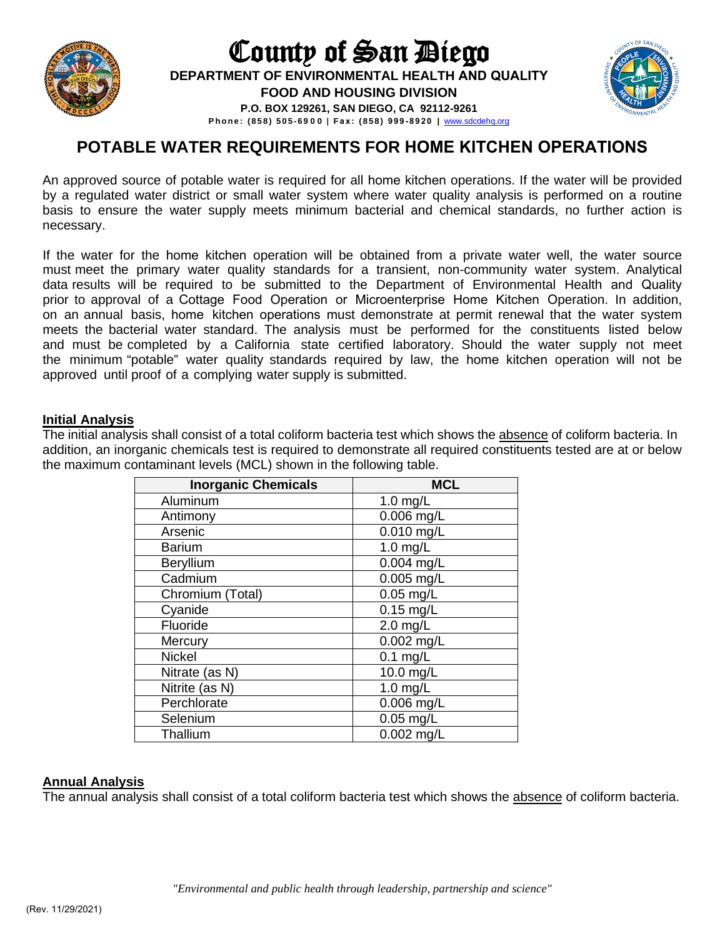

# County of San Diego **DEPARTMENT OF ENVIRONMENTAL HEALTH AND QUALITY FOOD AND HOUSING DIVISION P.O. BOX 129261, SAN DIEGO, CA 92112-9261**



**Phone: (858) 505 - 69 0 0 | Fa x : ( 858) 999-8920 |** [www.sdcdeh](http://www.sdcdehq.org/)q.org

# **POTABLE WATER REQUIREMENTS FOR HOME KITCHEN OPERATIONS**

An approved source of potable water is required for all home kitchen operations. If the water will be provided by a regulated water district or small water system where water quality analysis is performed on a routine basis to ensure the water supply meets minimum bacterial and chemical standards, no further action is necessary.

If the water for the home kitchen operation will be obtained from a private water well, the water source must meet the primary water quality standards for a transient, non-community water system. Analytical data results will be required to be submitted to the Department of Environmental Health and Quality prior to approval of a Cottage Food Operation or Microenterprise Home Kitchen Operation. In addition, on an annual basis, home kitchen operations must demonstrate at permit renewal that the water system meets the bacterial water standard. The analysis must be performed for the constituents listed below and must be completed by a California state certified laboratory. Should the water supply not meet the minimum "potable" water quality standards required by law, the home kitchen operation will not be approved until proof of a complying water supply is submitted.

#### **Initial Analysis**

The initial analysis shall consist of a total coliform bacteria test which shows the absence of coliform bacteria. In addition, an inorganic chemicals test is required to demonstrate all required constituents tested are at or below the maximum contaminant levels (MCL) shown in the following table.

| <b>Inorganic Chemicals</b> | <b>MCL</b>   |
|----------------------------|--------------|
| Aluminum                   | $1.0$ mg/L   |
| Antimony                   | $0.006$ mg/L |
| Arsenic                    | $0.010$ mg/L |
| <b>Barium</b>              | $1.0$ mg/L   |
| Beryllium                  | $0.004$ mg/L |
| Cadmium                    | $0.005$ mg/L |
| Chromium (Total)           | $0.05$ mg/L  |
| Cyanide                    | $0.15$ mg/L  |
| Fluoride                   | $2.0$ mg/L   |
| Mercury                    | $0.002$ mg/L |
| <b>Nickel</b>              | $0.1$ mg/L   |
| Nitrate (as N)             | 10.0 mg/L    |
| Nitrite (as N)             | $1.0$ mg/L   |
| Perchlorate                | $0.006$ mg/L |
| Selenium                   | $0.05$ mg/L  |
| Thallium                   | $0.002$ mg/L |

## **Annual Analysis**

The annual analysis shall consist of a total coliform bacteria test which shows the absence of coliform bacteria.